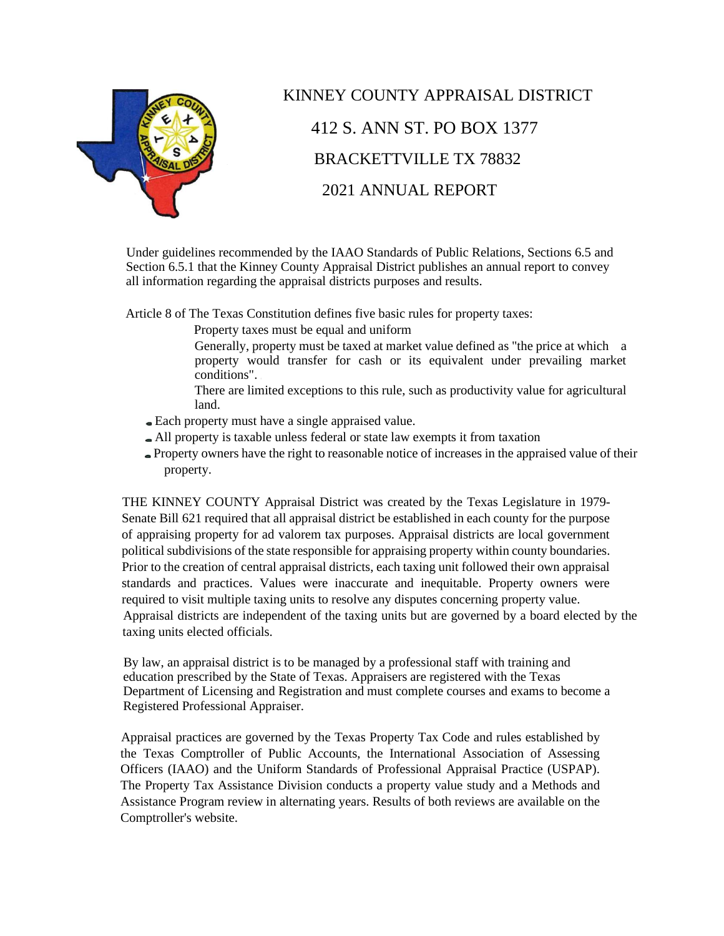

# KINNEY COUNTY APPRAISAL DISTRICT 412 S. ANN ST. PO BOX 1377 BRACKETTVILLE TX 78832 2021 ANNUAL REPORT

Under guidelines recommended by the IAAO Standards of Public Relations, Sections 6.5 and Section 6.5.1 that the Kinney County Appraisal District publishes an annual report to convey all information regarding the appraisal districts purposes and results.

Article 8 of The Texas Constitution defines five basic rules for property taxes:

Property taxes must be equal and uniform

- Generally, property must be taxed at market value defined as "the price at which a property would transfer for cash or its equivalent under prevailing market conditions".
- There are limited exceptions to this rule, such as productivity value for agricultural land.
- Each property must have a single appraised value.
- All property is taxable unless federal or state law exempts it from taxation
- Property owners have the right to reasonable notice of increases in the appraised value of their property.

THE KINNEY COUNTY Appraisal District was created by the Texas Legislature in 1979- Senate Bill 621 required that all appraisal district be established in each county for the purpose of appraising property for ad valorem tax purposes. Appraisal districts are local government political subdivisions of the state responsible for appraising property within county boundaries. Prior to the creation of central appraisal districts, each taxing unit followed their own appraisal standards and practices. Values were inaccurate and inequitable. Property owners were required to visit multiple taxing units to resolve any disputes concerning property value. Appraisal districts are independent of the taxing units but are governed by a board elected by the taxing units elected officials.

By law, an appraisal district is to be managed by a professional staff with training and education prescribed by the State of Texas. Appraisers are registered with the Texas Department of Licensing and Registration and must complete courses and exams to become a Registered Professional Appraiser.

Appraisal practices are governed by the Texas Property Tax Code and rules established by the Texas Comptroller of Public Accounts, the International Association of Assessing Officers (IAAO) and the Uniform Standards of Professional Appraisal Practice (USPAP). The Property Tax Assistance Division conducts a property value study and a Methods and Assistance Program review in alternating years. Results of both reviews are available on the Comptroller's website.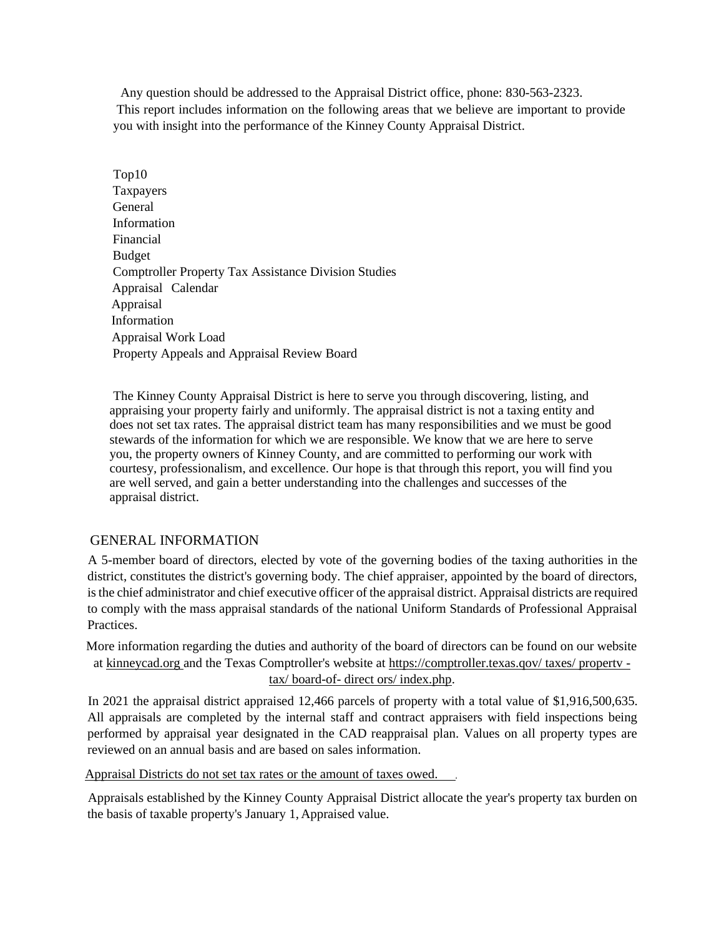Any question should be addressed to the Appraisal District office, phone: 830-563-2323. This report includes information on the following areas that we believe are important to provide you with insight into the performance of the Kinney County Appraisal District.

Top10 **Taxpayers** General Information Financial Budget Comptroller Property Tax Assistance Division Studies Appraisal Calendar Appraisal Information Appraisal Work Load Property Appeals and Appraisal Review Board

The Kinney County Appraisal District is here to serve you through discovering, listing, and appraising your property fairly and uniformly. The appraisal district is not a taxing entity and does not set tax rates. The appraisal district team has many responsibilities and we must be good stewards of the information for which we are responsible. We know that we are here to serve you, the property owners of Kinney County, and are committed to performing our work with courtesy, professionalism, and excellence. Our hope is that through this report, you will find you are well served, and gain a better understanding into the challenges and successes of the appraisal district.

#### GENERAL INFORMATION

A 5-member board of directors, elected by vote of the governing bodies of the taxing authorities in the district, constitutes the district's governing body. The chief appraiser, appointed by the board of directors, is the chief administrator and chief executive officer of the appraisal district. Appraisal districts are required to comply with the mass appraisal standards of the national Uniform Standards of Professional Appraisal Practices.

More information regarding the duties and authority of the board of directors can be found on our website at kinneycad.org and the Texas Comptroller's website at https://comptroller.texas.qov/ taxes/ propertv tax/ board-of- direct ors/ index.php.

In 2021 the appraisal district appraised 12,466 parcels of property with a total value of \$1,916,500,635. All appraisals are completed by the internal staff and contract appraisers with field inspections being performed by appraisal year designated in the CAD reappraisal plan. Values on all property types are reviewed on an annual basis and are based on sales information.

Appraisal Districts do not set tax rates or the amount of taxes owed.

Appraisals established by the Kinney County Appraisal District allocate the year's property tax burden on the basis of taxable property's January 1, Appraised value.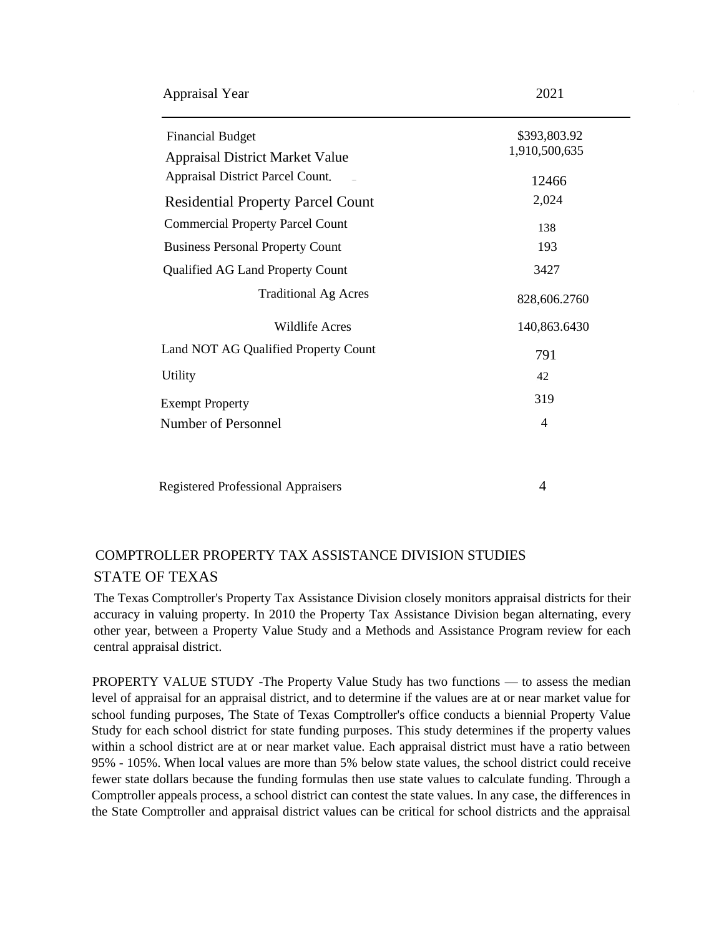| <b>Appraisal Year</b> | 2021 |
|-----------------------|------|
|-----------------------|------|

| <b>Financial Budget</b><br><b>Appraisal District Market Value</b><br><b>Appraisal District Parcel Count.</b> | \$393,803.92<br>1,910,500,635<br>12466 |
|--------------------------------------------------------------------------------------------------------------|----------------------------------------|
| <b>Residential Property Parcel Count</b>                                                                     | 2,024                                  |
| <b>Commercial Property Parcel Count</b>                                                                      | 138                                    |
| <b>Business Personal Property Count</b>                                                                      | 193                                    |
| Qualified AG Land Property Count                                                                             | 3427                                   |
| <b>Traditional Ag Acres</b>                                                                                  | 828,606.2760                           |
| Wildlife Acres                                                                                               | 140,863.6430                           |
| Land NOT AG Qualified Property Count                                                                         | 791                                    |
| Utility                                                                                                      | 42                                     |
| <b>Exempt Property</b>                                                                                       | 319                                    |
| Number of Personnel                                                                                          | 4                                      |
|                                                                                                              |                                        |
|                                                                                                              |                                        |

### Registered Professional Appraisers 4

## COMPTROLLER PROPERTY TAX ASSISTANCE DIVISION STUDIES STATE OF TEXAS

The Texas Comptroller's Property Tax Assistance Division closely monitors appraisal districts for their accuracy in valuing property. In 2010 the Property Tax Assistance Division began alternating, every other year, between a Property Value Study and a Methods and Assistance Program review for each central appraisal district.

PROPERTY VALUE STUDY -The Property Value Study has two functions — to assess the median level of appraisal for an appraisal district, and to determine if the values are at or near market value for school funding purposes, The State of Texas Comptroller's office conducts a biennial Property Value Study for each school district for state funding purposes. This study determines if the property values within a school district are at or near market value. Each appraisal district must have a ratio between 95% - 105%. When local values are more than 5% below state values, the school district could receive fewer state dollars because the funding formulas then use state values to calculate funding. Through a Comptroller appeals process, a school district can contest the state values. In any case, the differences in the State Comptroller and appraisal district values can be critical for school districts and the appraisal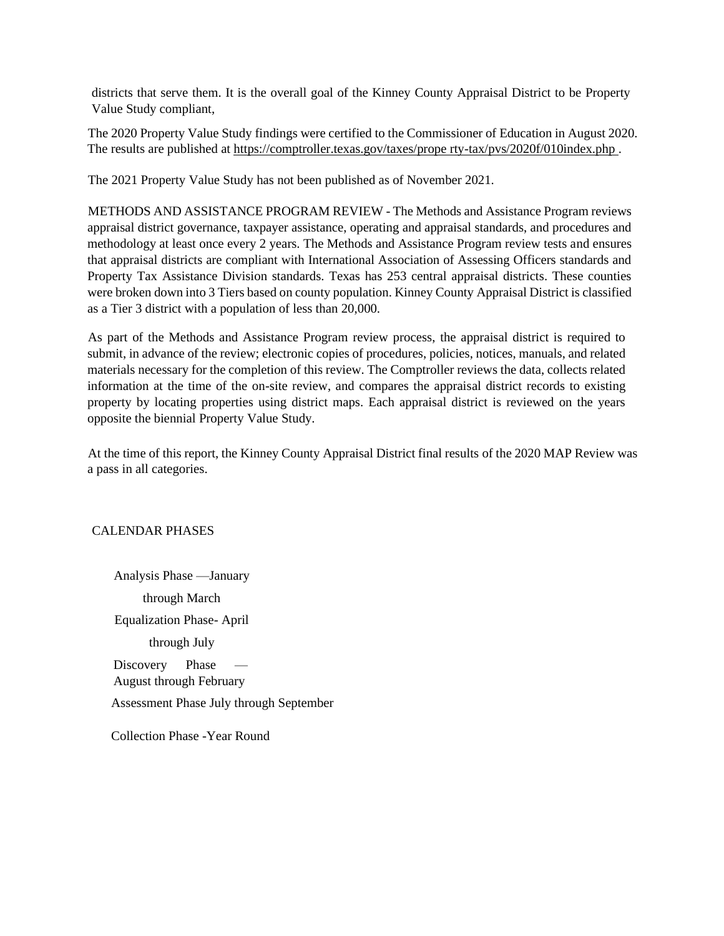districts that serve them. It is the overall goal of the Kinney County Appraisal District to be Property Value Study compliant,

The 2020 Property Value Study findings were certified to the Commissioner of Education in August 2020. The results are published at https://comptroller.texas.gov/taxes/prope rty-tax/pvs/2020f/010index.php .

The 2021 Property Value Study has not been published as of November 2021.

METHODS AND ASSISTANCE PROGRAM REVIEW - The Methods and Assistance Program reviews appraisal district governance, taxpayer assistance, operating and appraisal standards, and procedures and methodology at least once every 2 years. The Methods and Assistance Program review tests and ensures that appraisal districts are compliant with International Association of Assessing Officers standards and Property Tax Assistance Division standards. Texas has 253 central appraisal districts. These counties were broken down into 3 Tiers based on county population. Kinney County Appraisal District is classified as a Tier 3 district with a population of less than 20,000.

As part of the Methods and Assistance Program review process, the appraisal district is required to submit, in advance of the review; electronic copies of procedures, policies, notices, manuals, and related materials necessary for the completion of this review. The Comptroller reviews the data, collects related information at the time of the on-site review, and compares the appraisal district records to existing property by locating properties using district maps. Each appraisal district is reviewed on the years opposite the biennial Property Value Study.

At the time of this report, the Kinney County Appraisal District final results of the 2020 MAP Review was a pass in all categories.

#### CALENDAR PHASES

Analysis Phase —January through March Equalization Phase- April through July Discovery Phase August through February Assessment Phase July through September

Collection Phase -Year Round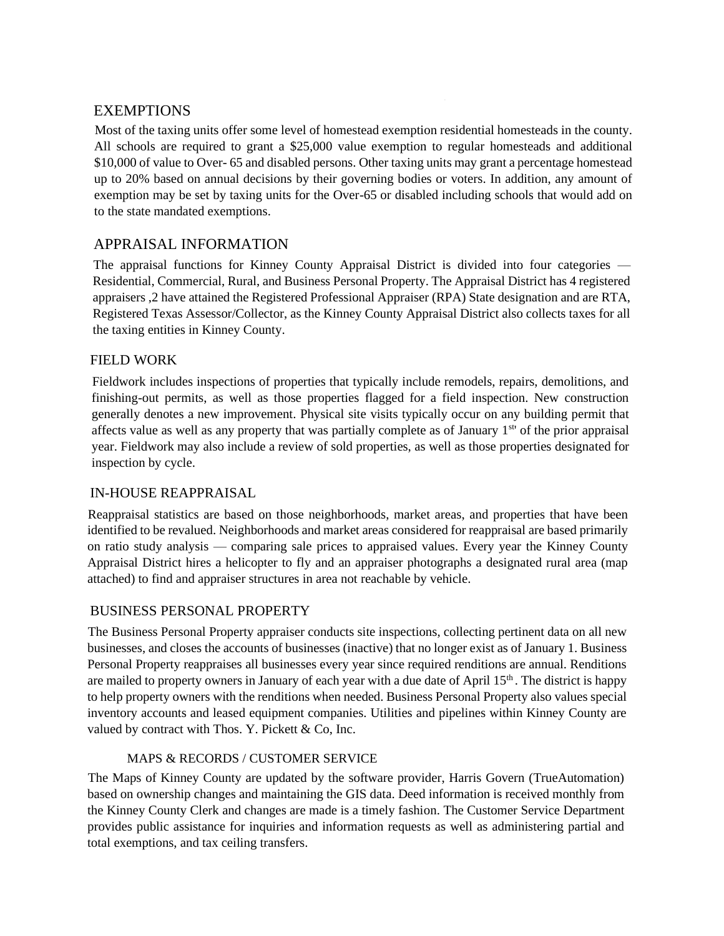#### EXEMPTIONS

Most of the taxing units offer some level of homestead exemption residential homesteads in the county. All schools are required to grant a \$25,000 value exemption to regular homesteads and additional \$10,000 of value to Over- 65 and disabled persons. Other taxing units may grant a percentage homestead up to 20% based on annual decisions by their governing bodies or voters. In addition, any amount of exemption may be set by taxing units for the Over-65 or disabled including schools that would add on to the state mandated exemptions.

### APPRAISAL INFORMATION

The appraisal functions for Kinney County Appraisal District is divided into four categories — Residential, Commercial, Rural, and Business Personal Property. The Appraisal District has 4 registered appraisers ,2 have attained the Registered Professional Appraiser (RPA) State designation and are RTA, Registered Texas Assessor/Collector, as the Kinney County Appraisal District also collects taxes for all the taxing entities in Kinney County.

#### FIELD WORK

Fieldwork includes inspections of properties that typically include remodels, repairs, demolitions, and finishing-out permits, as well as those properties flagged for a field inspection. New construction generally denotes a new improvement. Physical site visits typically occur on any building permit that affects value as well as any property that was partially complete as of January 1st' of the prior appraisal year. Fieldwork may also include a review of sold properties, as well as those properties designated for inspection by cycle.

#### IN-HOUSE REAPPRAISAL

Reappraisal statistics are based on those neighborhoods, market areas, and properties that have been identified to be revalued. Neighborhoods and market areas considered for reappraisal are based primarily on ratio study analysis — comparing sale prices to appraised values. Every year the Kinney County Appraisal District hires a helicopter to fly and an appraiser photographs a designated rural area (map attached) to find and appraiser structures in area not reachable by vehicle.

#### BUSINESS PERSONAL PROPERTY

The Business Personal Property appraiser conducts site inspections, collecting pertinent data on all new businesses, and closes the accounts of businesses (inactive) that no longer exist as of January 1. Business Personal Property reappraises all businesses every year since required renditions are annual. Renditions are mailed to property owners in January of each year with a due date of April 15<sup>th</sup>. The district is happy to help property owners with the renditions when needed. Business Personal Property also values special inventory accounts and leased equipment companies. Utilities and pipelines within Kinney County are valued by contract with Thos. Y. Pickett & Co, Inc.

#### MAPS & RECORDS / CUSTOMER SERVICE

The Maps of Kinney County are updated by the software provider, Harris Govern (TrueAutomation) based on ownership changes and maintaining the GIS data. Deed information is received monthly from the Kinney County Clerk and changes are made is a timely fashion. The Customer Service Department provides public assistance for inquiries and information requests as well as administering partial and total exemptions, and tax ceiling transfers.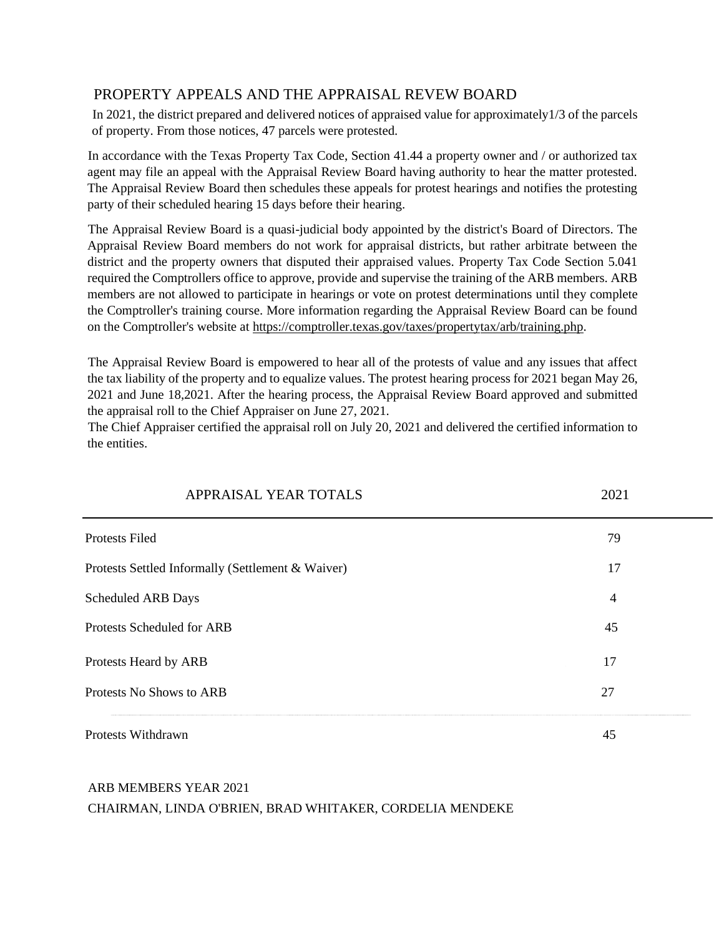### PROPERTY APPEALS AND THE APPRAISAL REVEW BOARD

In 2021, the district prepared and delivered notices of appraised value for approximately1/3 of the parcels of property. From those notices, 47 parcels were protested.

In accordance with the Texas Property Tax Code, Section 41.44 a property owner and / or authorized tax agent may file an appeal with the Appraisal Review Board having authority to hear the matter protested. The Appraisal Review Board then schedules these appeals for protest hearings and notifies the protesting party of their scheduled hearing 15 days before their hearing.

The Appraisal Review Board is a quasi-judicial body appointed by the district's Board of Directors. The Appraisal Review Board members do not work for appraisal districts, but rather arbitrate between the district and the property owners that disputed their appraised values. Property Tax Code Section 5.041 required the Comptrollers office to approve, provide and supervise the training of the ARB members. ARB members are not allowed to participate in hearings or vote on protest determinations until they complete the Comptroller's training course. More information regarding the Appraisal Review Board can be found on the Comptroller's website at https://comptroller.texas.gov/taxes/propertytax/arb/training.php.

The Appraisal Review Board is empowered to hear all of the protests of value and any issues that affect the tax liability of the property and to equalize values. The protest hearing process for 2021 began May 26, 2021 and June 18,2021. After the hearing process, the Appraisal Review Board approved and submitted the appraisal roll to the Chief Appraiser on June 27, 2021.

The Chief Appraiser certified the appraisal roll on July 20, 2021 and delivered the certified information to the entities.

| APPRAISAL YEAR TOTALS                             | 2021           |
|---------------------------------------------------|----------------|
| <b>Protests Filed</b>                             | 79             |
| Protests Settled Informally (Settlement & Waiver) | 17             |
| <b>Scheduled ARB Days</b>                         | $\overline{4}$ |
| Protests Scheduled for ARB                        | 45             |
| Protests Heard by ARB                             | 17             |
| Protests No Shows to ARB                          | 27             |
| Protests Withdrawn                                | 45             |

#### ARB MEMBERS YEAR 2021

#### CHAIRMAN, LINDA O'BRIEN, BRAD WHITAKER, CORDELIA MENDEKE